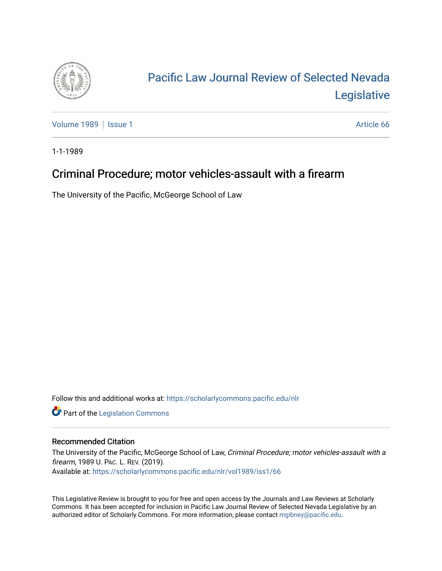

## [Pacific Law Journal Review of Selected Nevada](https://scholarlycommons.pacific.edu/nlr)  [Legislative](https://scholarlycommons.pacific.edu/nlr)

[Volume 1989](https://scholarlycommons.pacific.edu/nlr/vol1989) | [Issue 1](https://scholarlycommons.pacific.edu/nlr/vol1989/iss1) Article 66

1-1-1989

## Criminal Procedure; motor vehicles-assault with a firearm

The University of the Pacific, McGeorge School of Law

Follow this and additional works at: [https://scholarlycommons.pacific.edu/nlr](https://scholarlycommons.pacific.edu/nlr?utm_source=scholarlycommons.pacific.edu%2Fnlr%2Fvol1989%2Fiss1%2F66&utm_medium=PDF&utm_campaign=PDFCoverPages) 

**Part of the [Legislation Commons](http://network.bepress.com/hgg/discipline/859?utm_source=scholarlycommons.pacific.edu%2Fnlr%2Fvol1989%2Fiss1%2F66&utm_medium=PDF&utm_campaign=PDFCoverPages)** 

## Recommended Citation

The University of the Pacific, McGeorge School of Law, Criminal Procedure; motor vehicles-assault with a firearm, 1989 U. PAC. L. REV. (2019). Available at: [https://scholarlycommons.pacific.edu/nlr/vol1989/iss1/66](https://scholarlycommons.pacific.edu/nlr/vol1989/iss1/66?utm_source=scholarlycommons.pacific.edu%2Fnlr%2Fvol1989%2Fiss1%2F66&utm_medium=PDF&utm_campaign=PDFCoverPages)

This Legislative Review is brought to you for free and open access by the Journals and Law Reviews at Scholarly Commons. It has been accepted for inclusion in Pacific Law Journal Review of Selected Nevada Legislative by an authorized editor of Scholarly Commons. For more information, please contact [mgibney@pacific.edu](mailto:mgibney@pacific.edu).